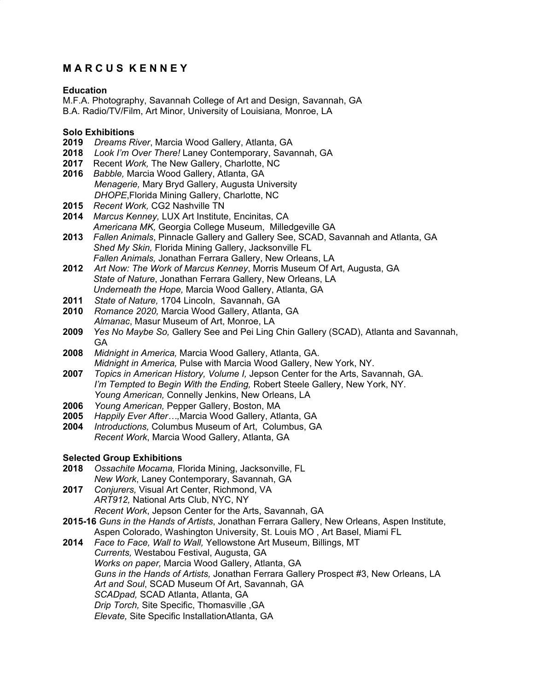# **M A R C U S K E N N E Y**

#### **Education**

M.F.A. Photography, Savannah College of Art and Design, Savannah, GA B.A. Radio/TV/Film, Art Minor, University of Louisiana*,* Monroe, LA

#### **Solo Exhibitions**

- **2019** *Dreams River*, Marcia Wood Gallery, Atlanta, GA
- **2018** *Look I'm Over There!* Laney Contemporary, Savannah, GA
- **2017** Recent *Work,* The New Gallery, Charlotte, NC
- **2016** *Babble,* Marcia Wood Gallery, Atlanta, GA *Menagerie,* Mary Bryd Gallery, Augusta University *DHOPE*,Florida Mining Gallery, Charlotte, NC
- **2015** *Recent Work,* CG2 Nashville TN
- **2014** *Marcus Kenney,* LUX Art Institute, Encinitas, CA *Americana MK,* Georgia College Museum, Milledgeville GA
- **2013** *Fallen Animals*, Pinnacle Gallery and Gallery See, SCAD, Savannah and Atlanta, GA *Shed My Skin,* Florida Mining Gallery, Jacksonville FL *Fallen Animals,* Jonathan Ferrara Gallery, New Orleans, LA
- **2012** *Art Now: The Work of Marcus Kenney*, Morris Museum Of Art, Augusta, GA *State of Nature*, Jonathan Ferrara Gallery, New Orleans, LA *Underneath the Hope,* Marcia Wood Gallery, Atlanta, GA
- **2011** *State of Nature,* 1704 Lincoln, Savannah, GA
- **2010** *Romance 2020,* Marcia Wood Gallery, Atlanta, GA *Almanac*, Masur Museum of Art, Monroe, LA
- **2009** *Yes No Maybe So,* Gallery See and Pei Ling Chin Gallery (SCAD), Atlanta and Savannah, GA
- **2008** *Midnight in America,* Marcia Wood Gallery, Atlanta, GA. *Midnight in America,* Pulse with Marcia Wood Gallery, New York, NY.
- **2007** *Topics in American History, Volume I,* Jepson Center for the Arts, Savannah, GA. *I'm Tempted to Begin With the Ending,* Robert Steele Gallery, New York, NY. *Young American,* Connelly Jenkins, New Orleans, LA
- **2006** *Young American,* Pepper Gallery, Boston, MA
- **2005** *Happily Ever After…,*Marcia Wood Gallery, Atlanta, GA
- **2004** *Introductions,* Columbus Museum of Art, Columbus, GA *Recent Work*, Marcia Wood Gallery, Atlanta, GA

### **Selected Group Exhibitions**

- **2018** *Ossachite Mocama,* Florida Mining, Jacksonville, FL *New Work*, Laney Contemporary, Savannah, GA
- **2017** *Conjurers,* Visual Art Center, Richmond, VA *ART912,* National Arts Club, NYC, NY *Recent Work*, Jepson Center for the Arts, Savannah, GA
- **2015-16** *Guns in the Hands of Artists*, Jonathan Ferrara Gallery, New Orleans, Aspen Institute, Aspen Colorado, Washington University, St. Louis MO , Art Basel, Miami FL
- **2014** *Face to Face, Wall to Wall,* Yellowstone Art Museum, Billings, MT *Currents,* Westabou Festival, Augusta, GA *Works on paper,* Marcia Wood Gallery, Atlanta, GA *Guns in the Hands of Artists,* Jonathan Ferrara Gallery Prospect #3, New Orleans, LA *Art and Soul*, SCAD Museum Of Art, Savannah, GA *SCADpad,* SCAD Atlanta, Atlanta, GA *Drip Torch,* Site Specific, Thomasville ,GA *Elevate,* Site Specific InstallationAtlanta, GA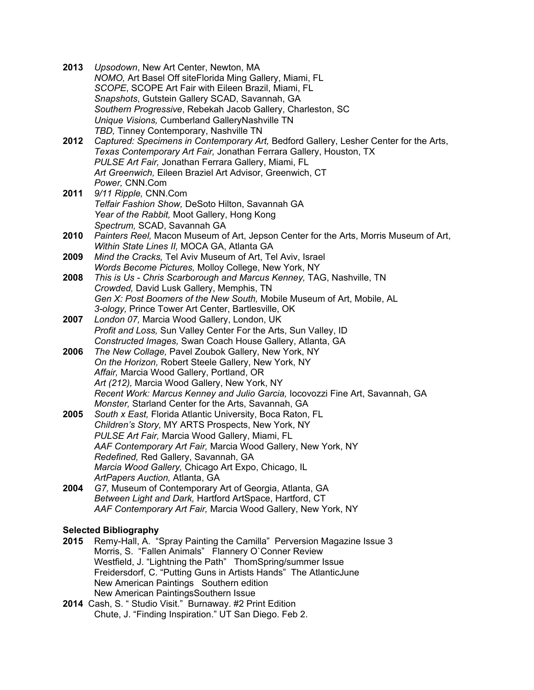| 2013                         | Upsodown, New Art Center, Newton, MA<br>NOMO, Art Basel Off siteFlorida Ming Gallery, Miami, FL                                                             |
|------------------------------|-------------------------------------------------------------------------------------------------------------------------------------------------------------|
|                              | SCOPE, SCOPE Art Fair with Eileen Brazil, Miami, FL                                                                                                         |
|                              | Snapshots, Gutstein Gallery SCAD, Savannah, GA                                                                                                              |
|                              | Southern Progressive, Rebekah Jacob Gallery, Charleston, SC                                                                                                 |
|                              | Unique Visions, Cumberland GalleryNashville TN                                                                                                              |
|                              | TBD, Tinney Contemporary, Nashville TN                                                                                                                      |
| 2012                         | Captured: Specimens in Contemporary Art, Bedford Gallery, Lesher Center for the Arts,<br>Texas Contemporary Art Fair, Jonathan Ferrara Gallery, Houston, TX |
|                              | PULSE Art Fair, Jonathan Ferrara Gallery, Miami, FL                                                                                                         |
|                              | Art Greenwich, Eileen Braziel Art Advisor, Greenwich, CT                                                                                                    |
|                              | Power, CNN.Com                                                                                                                                              |
| 2011                         | 9/11 Ripple, CNN.Com                                                                                                                                        |
|                              | Telfair Fashion Show, DeSoto Hilton, Savannah GA                                                                                                            |
|                              | Year of the Rabbit, Moot Gallery, Hong Kong                                                                                                                 |
|                              | Spectrum, SCAD, Savannah GA                                                                                                                                 |
| 2010                         | Painters Reel, Macon Museum of Art, Jepson Center for the Arts, Morris Museum of Art,                                                                       |
|                              | Within State Lines II, MOCA GA, Atlanta GA                                                                                                                  |
| 2009                         | Mind the Cracks, Tel Aviv Museum of Art, Tel Aviv, Israel<br>Words Become Pictures, Molloy College, New York, NY                                            |
| 2008                         | This is Us - Chris Scarborough and Marcus Kenney, TAG, Nashville, TN                                                                                        |
|                              | Crowded, David Lusk Gallery, Memphis, TN                                                                                                                    |
|                              | Gen X: Post Boomers of the New South, Mobile Museum of Art, Mobile, AL                                                                                      |
|                              | 3-ology, Prince Tower Art Center, Bartlesville, OK                                                                                                          |
| 2007                         | London 07, Marcia Wood Gallery, London, UK                                                                                                                  |
|                              | Profit and Loss, Sun Valley Center For the Arts, Sun Valley, ID                                                                                             |
|                              | Constructed Images, Swan Coach House Gallery, Atlanta, GA                                                                                                   |
| 2006                         | The New Collage, Pavel Zoubok Gallery, New York, NY                                                                                                         |
|                              | On the Horizon, Robert Steele Gallery, New York, NY                                                                                                         |
|                              | Affair, Marcia Wood Gallery, Portland, OR<br>Art (212), Marcia Wood Gallery, New York, NY                                                                   |
|                              | Recent Work: Marcus Kenney and Julio Garcia, locovozzi Fine Art, Savannah, GA                                                                               |
|                              | Monster, Starland Center for the Arts, Savannah, GA                                                                                                         |
| 2005                         | South x East, Florida Atlantic University, Boca Raton, FL                                                                                                   |
|                              | Children's Story, MY ARTS Prospects, New York, NY                                                                                                           |
|                              | PULSE Art Fair, Marcia Wood Gallery, Miami, FL                                                                                                              |
|                              | AAF Contemporary Art Fair, Marcia Wood Gallery, New York, NY                                                                                                |
|                              | Redefined, Red Gallery, Savannah, GA                                                                                                                        |
|                              | Marcia Wood Gallery, Chicago Art Expo, Chicago, IL                                                                                                          |
| 2004                         | ArtPapers Auction, Atlanta, GA<br>G7, Museum of Contemporary Art of Georgia, Atlanta, GA                                                                    |
|                              | Between Light and Dark, Hartford ArtSpace, Hartford, CT                                                                                                     |
|                              | AAF Contemporary Art Fair, Marcia Wood Gallery, New York, NY                                                                                                |
|                              |                                                                                                                                                             |
| <b>Selected Bibliography</b> |                                                                                                                                                             |

- **2015** Remy-Hall, A. "Spray Painting the Camilla" Perversion Magazine Issue 3 Morris, S. "Fallen Animals" Flannery O`Conner Review Westfield, J. "Lightning the Path" ThomSpring/summer Issue Freidersdorf, C. "Putting Guns in Artists Hands" The AtlanticJune New American Paintings Southern edition New American PaintingsSouthern Issue
- **2014** Cash, S. " Studio Visit." Burnaway. #2 Print Edition Chute, J. "Finding Inspiration." UT San Diego. Feb 2.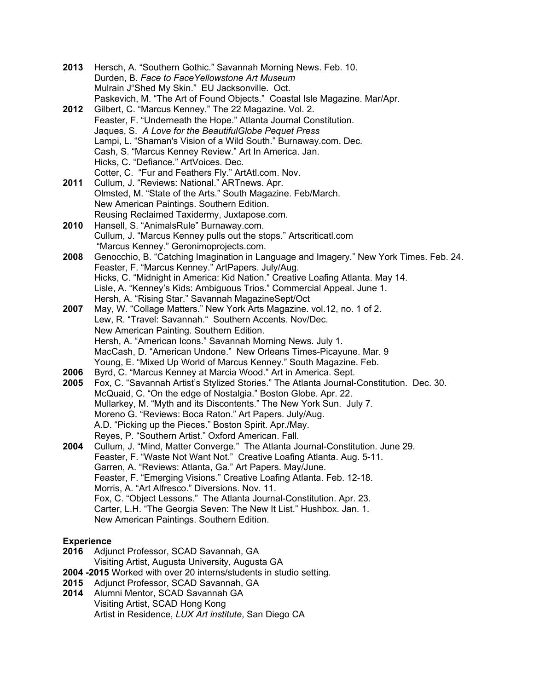- **2013** Hersch, A. "Southern Gothic." Savannah Morning News. Feb. 10. Durden, B. *Face to FaceYellowstone Art Museum* Mulrain J"Shed My Skin." EU Jacksonville. Oct. Paskevich, M. "The Art of Found Objects." Coastal Isle Magazine. Mar/Apr.
- **2012** Gilbert, C. "Marcus Kenney." The 22 Magazine. Vol. 2. Feaster, F. "Underneath the Hope." Atlanta Journal Constitution. Jaques, S. *A Love for the BeautifulGlobe Pequet Press* Lampi, L. "Shaman's Vision of a Wild South." Burnaway.com. Dec. Cash, S. "Marcus Kenney Review." Art In America. Jan. Hicks, C. "Defiance." ArtVoices. Dec. Cotter, C. "Fur and Feathers Fly." ArtAtl.com. Nov.
- **2011** Cullum, J. "Reviews: National." ARTnews. Apr. Olmsted, M. "State of the Arts." South Magazine. Feb/March. New American Paintings. Southern Edition. Reusing Reclaimed Taxidermy, Juxtapose.com.
- **2010** Hansell, S. "AnimalsRule" Burnaway.com. Cullum, J. "Marcus Kenney pulls out the stops." Artscriticatl.com "Marcus Kenney." Geronimoprojects.com.
- **2008** Genocchio, B. "Catching Imagination in Language and Imagery." New York Times. Feb. 24. Feaster, F. "Marcus Kenney." ArtPapers. July/Aug. Hicks, C. "Midnight in America: Kid Nation." Creative Loafing Atlanta. May 14. Lisle, A. "Kenney's Kids: Ambiguous Trios." Commercial Appeal. June 1. Hersh, A. "Rising Star." Savannah MagazineSept/Oct
- **2007** May, W. "Collage Matters." New York Arts Magazine. vol.12, no. 1 of 2. Lew, R. "Travel: Savannah." Southern Accents. Nov/Dec. New American Painting. Southern Edition. Hersh, A. "American Icons." Savannah Morning News. July 1. MacCash, D. "American Undone." New Orleans Times-Picayune. Mar. 9 Young, E. "Mixed Up World of Marcus Kenney." South Magazine. Feb.
- **2006** Byrd, C. "Marcus Kenney at Marcia Wood." Art in America. Sept.
- **2005** Fox, C. "Savannah Artist's Stylized Stories." The Atlanta Journal-Constitution. Dec. 30. McQuaid, C. "On the edge of Nostalgia." Boston Globe. Apr. 22. Mullarkey, M. "Myth and its Discontents." The New York Sun. July 7. Moreno G. "Reviews: Boca Raton." Art Papers*.* July/Aug. A.D. "Picking up the Pieces." Boston Spirit. Apr./May. Reyes, P. "Southern Artist." Oxford American. Fall.
- **2004** Cullum, J. "Mind, Matter Converge." The Atlanta Journal-Constitution*.* June 29. Feaster, F. "Waste Not Want Not." Creative Loafing Atlanta. Aug. 5-11. Garren, A. "Reviews: Atlanta, Ga." Art Papers. May/June. Feaster, F. "Emerging Visions." Creative Loafing Atlanta. Feb. 12-18. Morris, A. "Art Alfresco." Diversions. Nov. 11. Fox, C. "Object Lessons." The Atlanta Journal-Constitution. Apr. 23. Carter, L.H. "The Georgia Seven: The New It List." Hushbox. Jan. 1. New American Paintings. Southern Edition.

## **Experience**

- **2016** Adjunct Professor, SCAD Savannah, GA
- Visiting Artist, Augusta University, Augusta GA
- **2004 -2015** Worked with over 20 interns/students in studio setting.
- **2015** Adjunct Professor, SCAD Savannah, GA
- **2014** Alumni Mentor, SCAD Savannah GA Visiting Artist, SCAD Hong Kong Artist in Residence, *LUX Art institute*, San Diego CA